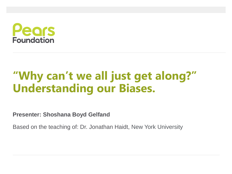

### **"Why can't we all just get along?" Understanding our Biases.**

**Presenter: Shoshana Boyd Gelfand**

Based on the teaching of: Dr. Jonathan Haidt, New York University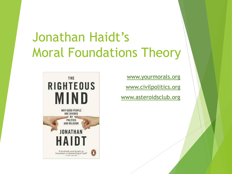## Jonathan Haidt's Moral Foundations Theory

[www.yourmorals.org](http://www.yourmorals.org/) [www.civilpolitics.org](http://www.civilpolitics.org/) [www.asteroidsclub.org](http://www.asteroidsclub.org/)

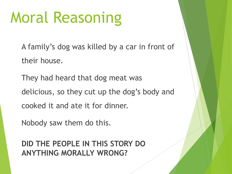## Moral Reasoning

A family's dog was killed by a car in front of their house.

They had heard that dog meat was delicious, so they cut up the dog's body and cooked it and ate it for dinner.

Nobody saw them do this.

**DID THE PEOPLE IN THIS STORY DO ANYTHING MORALLY WRONG?**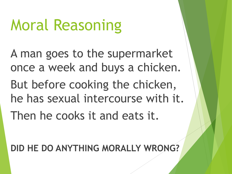# Moral Reasoning

A man goes to the supermarket once a week and buys a chicken.

But before cooking the chicken, he has sexual intercourse with it.

Then he cooks it and eats it.

**DID HE DO ANYTHING MORALLY WRONG?**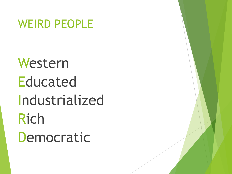#### WEIRD PEOPLE

# Western **Educated** Industrialized Rich Democratic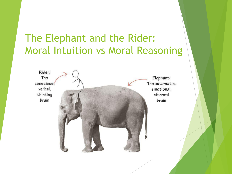#### The Elephant and the Rider: Moral Intuition vs Moral Reasoning

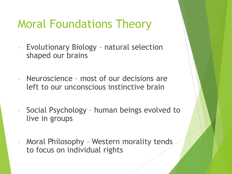### Moral Foundations Theory

- Evolutionary Biology natural selection shaped our brains
- Neuroscience most of our decisions are left to our unconscious instinctive brain
- Social Psychology human beings evolved to live in groups
- Moral Philosophy Western morality tends to focus on individual rights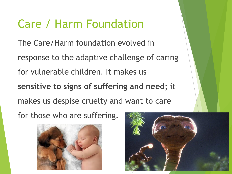#### Care / Harm Foundation

The Care/Harm foundation evolved in response to the adaptive challenge of caring for vulnerable children. It makes us **sensitive to signs of suffering and need**; it makes us despise cruelty and want to care for those who are suffering.



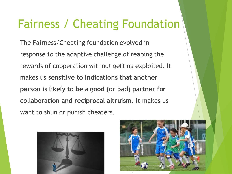### Fairness / Cheating Foundation

The Fairness/Cheating foundation evolved in response to the adaptive challenge of reaping the rewards of cooperation without getting exploited. It makes us **sensitive to indications that another person is likely to be a good (or bad) partner for collaboration and reciprocal altruism**. It makes us want to shun or punish cheaters.



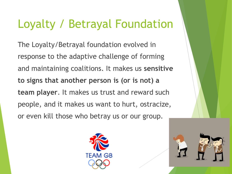### Loyalty / Betrayal Foundation

The Loyalty/Betrayal foundation evolved in response to the adaptive challenge of forming and maintaining coalitions. It makes us **sensitive to signs that another person is (or is not) a team player**. It makes us trust and reward such people, and it makes us want to hurt, ostracize, or even kill those who betray us or our group.



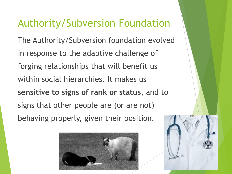#### Authority/Subversion Foundation

The Authority/Subversion foundation evolved in response to the adaptive challenge of forging relationships that will benefit us within social hierarchies. It makes us **sensitive to signs of rank or status**, and to signs that other people are (or are not) behaving properly, given their position.



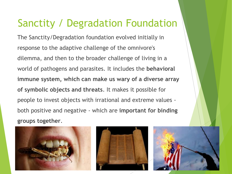#### Sanctity / Degradation Foundation

The Sanctity/Degradation foundation evolved initially in response to the adaptive challenge of the omnivore's dilemma, and then to the broader challenge of living in a world of pathogens and parasites. It includes the **behavioral immune system, which can make us wary of a diverse array of symbolic objects and threats**. It makes it possible for people to invest objects with irrational and extreme values both positive and negative - which are **important for binding groups together**.





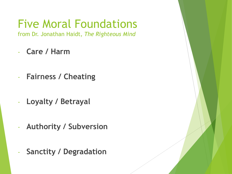## Five Moral Foundations

from Dr. Jonathan Haidt, *The Righteous Mind*

- **Care / Harm**
- **Fairness / Cheating**
- **Loyalty / Betrayal**
- **Authority / Subversion**
- **Sanctity / Degradation**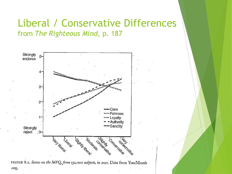#### Liberal / Conservative Differences from *The Righteous Mind*, p. 187



FIGURE 8.2. Scores on the MFQ, from 132,000 subjects, in 2011. Data from YourMorals .org.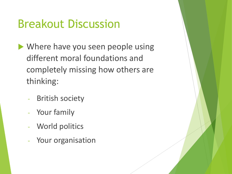### Breakout Discussion

- Where have you seen people using different moral foundations and completely missing how others are thinking:
	- British society
	- Your family
	- World politics
	- Your organisation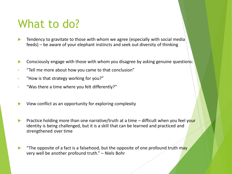#### What to do?

- Tendency to gravitate to those with whom we agree (especially with social media feeds) – be aware of your elephant instincts and seek out diversity of thinking
- Consciously engage with those with whom you disagree by asking genuine questions:
- "Tell me more about how you came to that conclusion"
- "How is that strategy working for you?"
- "Was there a time where you felt differently?"
- View conflict as an opportunity for exploring complexity
- Practice holding more than one narrative/truth at a time difficult when you feel your identity is being challenged, but it is a skill that can be learned and practiced and strengthened over time
- "The opposite of a fact is a falsehood, but the opposite of one profound truth may very well be another profound truth." – Niels Bohr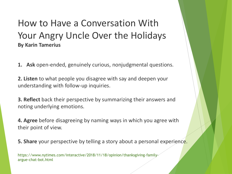#### How to Have a Conversation With Your Angry Uncle Over the Holidays **By Karin Tamerius**

- **1. Ask** open-ended, genuinely curious, nonjudgmental questions.
- **2. Listen** to what people you disagree with say and deepen your understanding with follow-up inquiries.
- **3. Reflect** back their perspective by summarizing their answers and noting underlying emotions.
- **4. Agree** before disagreeing by naming ways in which you agree with their point of view.
- **5. Share** your perspective by telling a story about a personal experience.

https://www.nytimes.com/interactive/2018/11/18/opinion/thanksgiving-familyargue-chat-bot.html